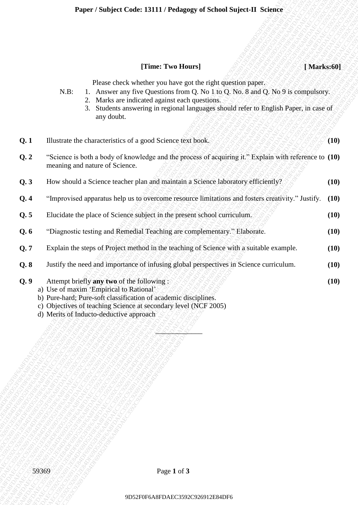### **[Time: Two Hours] [ Marks:60]**

- N.B: 1. Answer any five Questions from Q. No 1 to Q. No. 8 and Q. No 9 is compulsory.
	- 2. Marks are indicated against each questions.
		- 3. Students answering in regional languages should refer to English Paper, in case of any doubt.

|       |         | [Time: Two Hours]                                                                                                                                                                                                                                                                                           | [Marks:60] |
|-------|---------|-------------------------------------------------------------------------------------------------------------------------------------------------------------------------------------------------------------------------------------------------------------------------------------------------------------|------------|
|       | $N.B$ : | Please check whether you have got the right question paper.<br>1. Answer any five Questions from Q. No 1 to Q. No. 8 and Q. No 9 is compulsory.<br>2. Marks are indicated against each questions.<br>Students answering in regional languages should refer to English Paper, in case of<br>3.<br>any doubt. |            |
| Q.1   |         | Illustrate the characteristics of a good Science text book.                                                                                                                                                                                                                                                 | (10)       |
| Q.2   |         | "Science is both a body of knowledge and the process of acquiring it." Explain with reference to (10)<br>meaning and nature of Science.                                                                                                                                                                     |            |
| Q.3   |         | How should a Science teacher plan and maintain a Science laboratory efficiently?                                                                                                                                                                                                                            | (10)       |
| Q.4   |         | "Improvised apparatus help us to overcome resource limitations and fosters creativity." Justify.                                                                                                                                                                                                            | (10)       |
| Q.5   |         | Elucidate the place of Science subject in the present school curriculum.                                                                                                                                                                                                                                    | (10)       |
| Q.6   |         | "Diagnostic testing and Remedial Teaching are complementary." Elaborate.                                                                                                                                                                                                                                    | (10)       |
| Q.7   |         | Explain the steps of Project method in the teaching of Science with a suitable example.                                                                                                                                                                                                                     | (10)       |
| Q.8   |         | Justify the need and importance of infusing global perspectives in Science curriculum.                                                                                                                                                                                                                      | (10)       |
| Q.9   |         | Attempt briefly any two of the following:<br>a) Use of maxim 'Empirical to Rational'<br>b) Pure-hard; Pure-soft classification of academic disciplines.<br>c) Objectives of teaching Science at secondary level (NCF 2005)<br>d) Merits of Inducto-deductive approach                                       | (10)       |
|       |         |                                                                                                                                                                                                                                                                                                             |            |
|       |         |                                                                                                                                                                                                                                                                                                             |            |
| 59369 |         | Page 1 of 3                                                                                                                                                                                                                                                                                                 |            |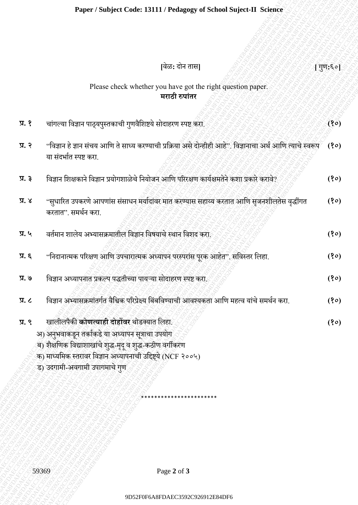## **Paper / Subject Code: 13111 / Pedagogy of School Suject-II Science**

# **[**वेळ**:** दोन तास**] [** गणु**:**६०**]**

## Please check whether you have got the right question paper. **मराठी रुपाांतर**

| वेळ: दोन तास]<br>Please check whether you have got the right question paper.<br>मराठी रुपांतर<br>चांगल्या विज्ञान पाठ्यपुस्तकाची गुणवैशिष्टये सोदाहरण स्पष्ट करा.<br>$\mathfrak{g}, \mathfrak{g}$<br>''विज्ञान हे ज्ञान संचय आणि ते साध्य करण्याची प्रक्रिया असे दोन्हीही आहे''. विज्ञानाचा अर्थ आणि त्याचे स्वरूप<br>प्र. २<br>या संदर्भात स्पष्ट करा.<br>विज्ञान शिक्षकाने विज्ञान प्रयोगशाळेचे नियोजन आणि परिरक्षण कार्यक्षमतेने कशा प्रकारे करावे?<br>प्र. ३<br>''सुधारित उपकरणे आपणांस संसाधन मर्यादांवर मात करण्यास सहाय्य करतात आणि सृजनशीलतेस वृद्धींगत<br>प्र. ४<br>करतात". समर्थन करा.<br>वर्तमान शालेय अभ्यासक्रमातील विज्ञान विषयाचे स्थान विशद करा.<br>प्र. ५<br>"निदानात्मक परिक्षण आणि उपचारात्मक अध्यापन परस्परांस पूरक आहेत". सविस्तर लिहा.<br>$\mathfrak{A}$ .<br>विज्ञान अध्यापनात प्रकल्प पद्धतीच्या पायऱ्या सोदाहरण स्पष्ट करा.<br>प्र. ७<br>विज्ञान अभ्यासक्रमांतर्गत वैश्विक परिप्रेक्ष्य बिंबविण्याची आवश्यकता आणि महत्व यांचे समर्थन करा.<br>$\overline{X}$ . $\zeta$<br>खालीलपैकी <b>कोणत्याही दोहोंवर</b> थोडक्यात लिहा.<br>$\mathfrak{R}$ . R<br>अ) अनुभवाकडून तर्काकडे या अध्यापन सूत्राचा उपयोग<br>ब) शैक्षणिक विद्याशाखांचे शुद्ध-मृदू व शुद्ध-कठीण वर्गीकरण<br>क) माध्यमिक स्तरावर विज्ञान अध्यापनाची उद्दिष्ट्ये (NCF २००५)<br>ड) उदगामी-अवगामी उपागमाचे गुण<br>Page 2 of 3<br>59369 | Paper / Subject Code: 13111 / Pedagogy of School Suject-II Science |      |
|-----------------------------------------------------------------------------------------------------------------------------------------------------------------------------------------------------------------------------------------------------------------------------------------------------------------------------------------------------------------------------------------------------------------------------------------------------------------------------------------------------------------------------------------------------------------------------------------------------------------------------------------------------------------------------------------------------------------------------------------------------------------------------------------------------------------------------------------------------------------------------------------------------------------------------------------------------------------------------------------------------------------------------------------------------------------------------------------------------------------------------------------------------------------------------------------------------------------------------------------------------------------------------------------------------------------------|--------------------------------------------------------------------|------|
| [ गुण:६०]                                                                                                                                                                                                                                                                                                                                                                                                                                                                                                                                                                                                                                                                                                                                                                                                                                                                                                                                                                                                                                                                                                                                                                                                                                                                                                             |                                                                    |      |
|                                                                                                                                                                                                                                                                                                                                                                                                                                                                                                                                                                                                                                                                                                                                                                                                                                                                                                                                                                                                                                                                                                                                                                                                                                                                                                                       |                                                                    |      |
|                                                                                                                                                                                                                                                                                                                                                                                                                                                                                                                                                                                                                                                                                                                                                                                                                                                                                                                                                                                                                                                                                                                                                                                                                                                                                                                       |                                                                    |      |
|                                                                                                                                                                                                                                                                                                                                                                                                                                                                                                                                                                                                                                                                                                                                                                                                                                                                                                                                                                                                                                                                                                                                                                                                                                                                                                                       |                                                                    | (8)  |
|                                                                                                                                                                                                                                                                                                                                                                                                                                                                                                                                                                                                                                                                                                                                                                                                                                                                                                                                                                                                                                                                                                                                                                                                                                                                                                                       |                                                                    | (30) |
|                                                                                                                                                                                                                                                                                                                                                                                                                                                                                                                                                                                                                                                                                                                                                                                                                                                                                                                                                                                                                                                                                                                                                                                                                                                                                                                       |                                                                    | (30) |
|                                                                                                                                                                                                                                                                                                                                                                                                                                                                                                                                                                                                                                                                                                                                                                                                                                                                                                                                                                                                                                                                                                                                                                                                                                                                                                                       |                                                                    | (8)  |
|                                                                                                                                                                                                                                                                                                                                                                                                                                                                                                                                                                                                                                                                                                                                                                                                                                                                                                                                                                                                                                                                                                                                                                                                                                                                                                                       |                                                                    | (80) |
|                                                                                                                                                                                                                                                                                                                                                                                                                                                                                                                                                                                                                                                                                                                                                                                                                                                                                                                                                                                                                                                                                                                                                                                                                                                                                                                       |                                                                    | (80) |
|                                                                                                                                                                                                                                                                                                                                                                                                                                                                                                                                                                                                                                                                                                                                                                                                                                                                                                                                                                                                                                                                                                                                                                                                                                                                                                                       |                                                                    | (30) |
|                                                                                                                                                                                                                                                                                                                                                                                                                                                                                                                                                                                                                                                                                                                                                                                                                                                                                                                                                                                                                                                                                                                                                                                                                                                                                                                       |                                                                    | (8)  |
|                                                                                                                                                                                                                                                                                                                                                                                                                                                                                                                                                                                                                                                                                                                                                                                                                                                                                                                                                                                                                                                                                                                                                                                                                                                                                                                       |                                                                    | (30) |
|                                                                                                                                                                                                                                                                                                                                                                                                                                                                                                                                                                                                                                                                                                                                                                                                                                                                                                                                                                                                                                                                                                                                                                                                                                                                                                                       |                                                                    |      |
|                                                                                                                                                                                                                                                                                                                                                                                                                                                                                                                                                                                                                                                                                                                                                                                                                                                                                                                                                                                                                                                                                                                                                                                                                                                                                                                       |                                                                    |      |
|                                                                                                                                                                                                                                                                                                                                                                                                                                                                                                                                                                                                                                                                                                                                                                                                                                                                                                                                                                                                                                                                                                                                                                                                                                                                                                                       |                                                                    |      |